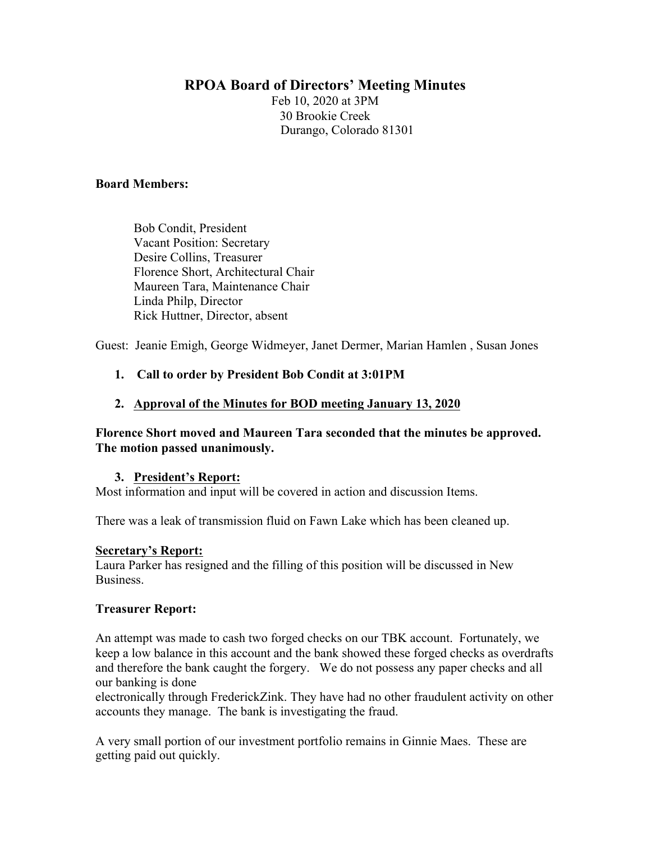# **RPOA Board of Directors' Meeting Minutes**

Feb 10, 2020 at 3PM 30 Brookie Creek Durango, Colorado 81301

# **Board Members:**

Bob Condit, President Vacant Position: Secretary Desire Collins, Treasurer Florence Short, Architectural Chair Maureen Tara, Maintenance Chair Linda Philp, Director Rick Huttner, Director, absent

Guest: Jeanie Emigh, George Widmeyer, Janet Dermer, Marian Hamlen , Susan Jones

# **1. Call to order by President Bob Condit at 3:01PM**

# **2. Approval of the Minutes for BOD meeting January 13, 2020**

# **Florence Short moved and Maureen Tara seconded that the minutes be approved. The motion passed unanimously.**

# **3. President's Report:**

Most information and input will be covered in action and discussion Items.

There was a leak of transmission fluid on Fawn Lake which has been cleaned up.

# **Secretary's Report:**

Laura Parker has resigned and the filling of this position will be discussed in New Business.

# **Treasurer Report:**

An attempt was made to cash two forged checks on our TBK account. Fortunately, we keep a low balance in this account and the bank showed these forged checks as overdrafts and therefore the bank caught the forgery. We do not possess any paper checks and all our banking is done

electronically through FrederickZink. They have had no other fraudulent activity on other accounts they manage. The bank is investigating the fraud.

A very small portion of our investment portfolio remains in Ginnie Maes. These are getting paid out quickly.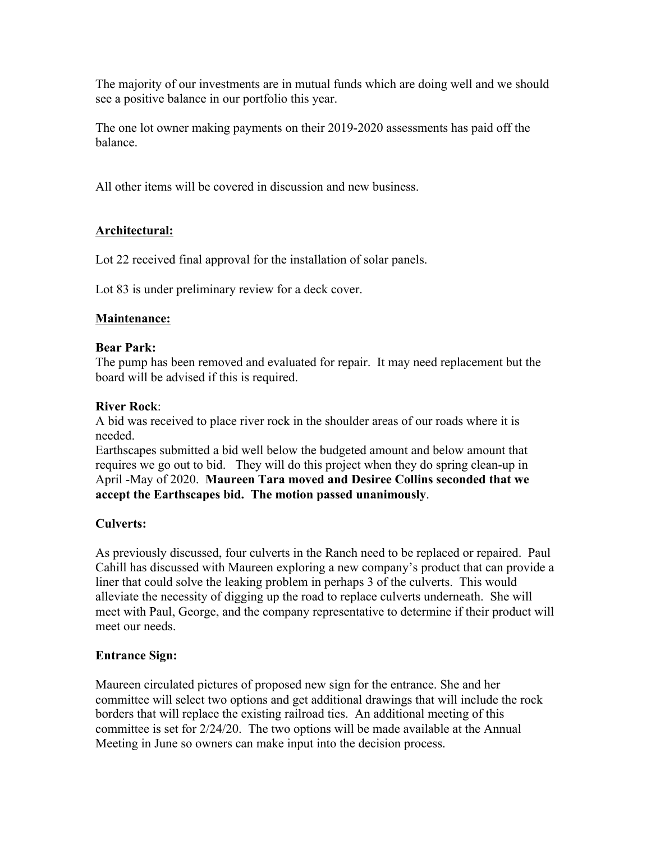The majority of our investments are in mutual funds which are doing well and we should see a positive balance in our portfolio this year.

The one lot owner making payments on their 2019-2020 assessments has paid off the balance.

All other items will be covered in discussion and new business.

# **Architectural:**

Lot 22 received final approval for the installation of solar panels.

Lot 83 is under preliminary review for a deck cover.

# **Maintenance:**

# **Bear Park:**

The pump has been removed and evaluated for repair. It may need replacement but the board will be advised if this is required.

# **River Rock**:

A bid was received to place river rock in the shoulder areas of our roads where it is needed.

Earthscapes submitted a bid well below the budgeted amount and below amount that requires we go out to bid. They will do this project when they do spring clean-up in April -May of 2020. **Maureen Tara moved and Desiree Collins seconded that we accept the Earthscapes bid. The motion passed unanimously**.

# **Culverts:**

As previously discussed, four culverts in the Ranch need to be replaced or repaired. Paul Cahill has discussed with Maureen exploring a new company's product that can provide a liner that could solve the leaking problem in perhaps 3 of the culverts. This would alleviate the necessity of digging up the road to replace culverts underneath. She will meet with Paul, George, and the company representative to determine if their product will meet our needs.

# **Entrance Sign:**

Maureen circulated pictures of proposed new sign for the entrance. She and her committee will select two options and get additional drawings that will include the rock borders that will replace the existing railroad ties. An additional meeting of this committee is set for 2/24/20. The two options will be made available at the Annual Meeting in June so owners can make input into the decision process.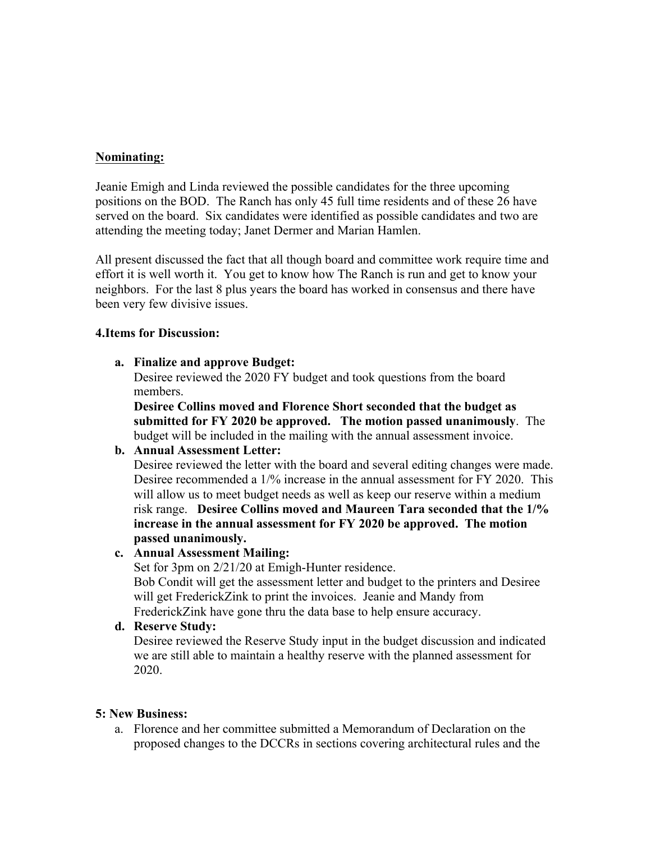# **Nominating:**

Jeanie Emigh and Linda reviewed the possible candidates for the three upcoming positions on the BOD. The Ranch has only 45 full time residents and of these 26 have served on the board. Six candidates were identified as possible candidates and two are attending the meeting today; Janet Dermer and Marian Hamlen.

All present discussed the fact that all though board and committee work require time and effort it is well worth it. You get to know how The Ranch is run and get to know your neighbors. For the last 8 plus years the board has worked in consensus and there have been very few divisive issues.

# **4.Items for Discussion:**

# **a. Finalize and approve Budget:**

Desiree reviewed the 2020 FY budget and took questions from the board members.

**Desiree Collins moved and Florence Short seconded that the budget as submitted for FY 2020 be approved. The motion passed unanimously**. The budget will be included in the mailing with the annual assessment invoice.

# **b. Annual Assessment Letter:**

Desiree reviewed the letter with the board and several editing changes were made. Desiree recommended a 1/% increase in the annual assessment for FY 2020. This will allow us to meet budget needs as well as keep our reserve within a medium risk range. **Desiree Collins moved and Maureen Tara seconded that the 1/% increase in the annual assessment for FY 2020 be approved. The motion passed unanimously.**

# **c. Annual Assessment Mailing:**

Set for 3pm on 2/21/20 at Emigh-Hunter residence. Bob Condit will get the assessment letter and budget to the printers and Desiree will get FrederickZink to print the invoices. Jeanie and Mandy from FrederickZink have gone thru the data base to help ensure accuracy.

# **d. Reserve Study:**

Desiree reviewed the Reserve Study input in the budget discussion and indicated we are still able to maintain a healthy reserve with the planned assessment for 2020.

# **5: New Business:**

a. Florence and her committee submitted a Memorandum of Declaration on the proposed changes to the DCCRs in sections covering architectural rules and the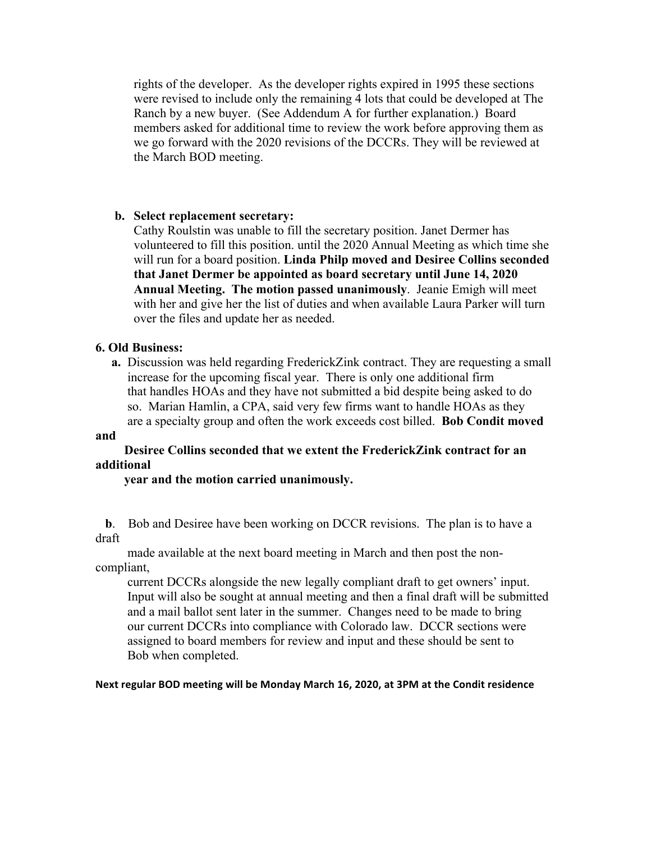rights of the developer. As the developer rights expired in 1995 these sections were revised to include only the remaining 4 lots that could be developed at The Ranch by a new buyer. (See Addendum A for further explanation.) Board members asked for additional time to review the work before approving them as we go forward with the 2020 revisions of the DCCRs. They will be reviewed at the March BOD meeting.

# **b. Select replacement secretary:**

Cathy Roulstin was unable to fill the secretary position. Janet Dermer has volunteered to fill this position. until the 2020 Annual Meeting as which time she will run for a board position. **Linda Philp moved and Desiree Collins seconded that Janet Dermer be appointed as board secretary until June 14, 2020 Annual Meeting. The motion passed unanimously**. Jeanie Emigh will meet with her and give her the list of duties and when available Laura Parker will turn over the files and update her as needed.

#### **6. Old Business:**

 **a.** Discussion was held regarding FrederickZink contract. They are requesting a small increase for the upcoming fiscal year. There is only one additional firm that handles HOAs and they have not submitted a bid despite being asked to do so. Marian Hamlin, a CPA, said very few firms want to handle HOAs as they are a specialty group and often the work exceeds cost billed. **Bob Condit moved** 

#### **and**

# **Desiree Collins seconded that we extent the FrederickZink contract for an additional**

#### **year and the motion carried unanimously.**

**b.** Bob and Desiree have been working on DCCR revisions. The plan is to have a draft

 made available at the next board meeting in March and then post the noncompliant,

 current DCCRs alongside the new legally compliant draft to get owners' input. Input will also be sought at annual meeting and then a final draft will be submitted and a mail ballot sent later in the summer. Changes need to be made to bring our current DCCRs into compliance with Colorado law. DCCR sections were assigned to board members for review and input and these should be sent to Bob when completed.

#### Next regular BOD meeting will be Monday March 16, 2020, at 3PM at the Condit residence